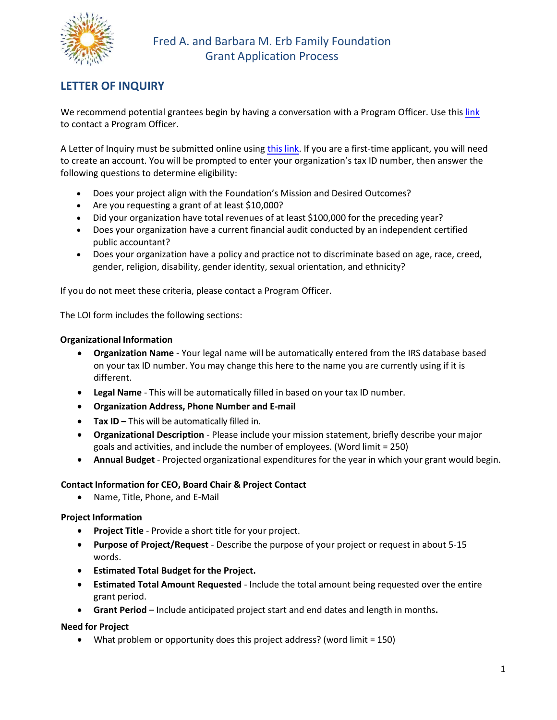

# LETTER OF INQUIRY

We recommend potential grantees begin by having a conversation with a Program Officer. Use this [link](https://www.erbff.org/contact/) to contact a Program Officer.

A Letter of Inquiry must be submitted online using [this link.](https://www.GrantRequest.com/SID_960?SA=SNA&FID=35101) If you are a first-time applicant, you will need to create an account. You will be prompted to enter your organization's tax ID number, then answer the following questions to determine eligibility:

- Does your project align with the Foundation's Mission and Desired Outcomes?
- Are you requesting a grant of at least \$10,000?
- Did your organization have total revenues of at least \$100,000 for the preceding year?
- Does your organization have a current financial audit conducted by an independent certified public accountant?
- Does your organization have a policy and practice not to discriminate based on age, race, creed, gender, religion, disability, gender identity, sexual orientation, and ethnicity?

If you do not meet these criteria, please contact a Program Officer.

The LOI form includes the following sections:

### Organizational Information

- Organization Name Your legal name will be automatically entered from the IRS database based on your tax ID number. You may change this here to the name you are currently using if it is different.
- Legal Name This will be automatically filled in based on your tax ID number.
- Organization Address, Phone Number and E-mail
- Tax ID This will be automatically filled in.
- Organizational Description Please include your mission statement, briefly describe your major goals and activities, and include the number of employees. (Word limit = 250)
- Annual Budget Projected organizational expenditures for the year in which your grant would begin.

### Contact Information for CEO, Board Chair & Project Contact

Name, Title, Phone, and E-Mail

# Project Information

- Project Title Provide a short title for your project.
- Purpose of Project/Request Describe the purpose of your project or request in about 5-15 words.
- Estimated Total Budget for the Project.
- **Estimated** Total Amount Requested Include the total amount being requested over the entire grant period.
- Grant Period Include anticipated project start and end dates and length in months.

# Need for Project

What problem or opportunity does this project address? (word limit = 150)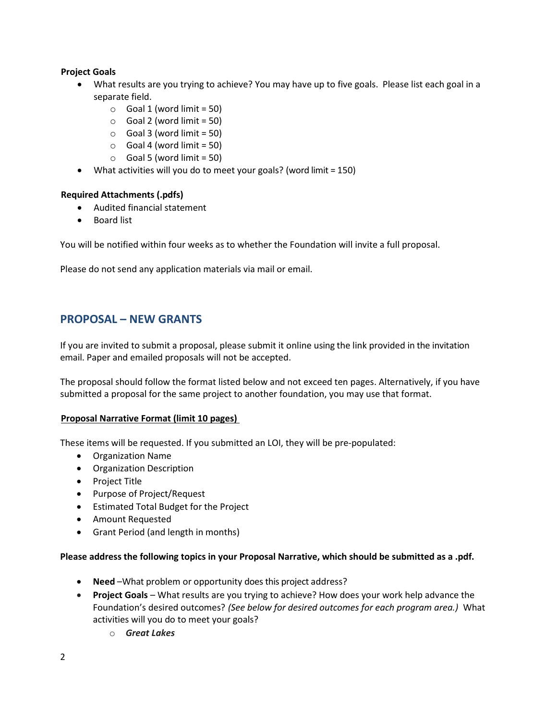### Project Goals

- What results are you trying to achieve? You may have up to five goals. Please list each goal in a separate field.
	- $\circ$  Goal 1 (word limit = 50)
	- $\circ$  Goal 2 (word limit = 50)
	- $\circ$  Goal 3 (word limit = 50)
	- $\circ$  Goal 4 (word limit = 50)
	- $\circ$  Goal 5 (word limit = 50)
- What activities will you do to meet your goals? (word limit = 150)

### Required Attachments (.pdfs)

- Audited financial statement
- Board list

You will be notified within four weeks as to whether the Foundation will invite a full proposal.

Please do not send any application materials via mail or email.

# PROPOSAL – NEW GRANTS

If you are invited to submit a proposal, please submit it online using the link provided in the invitation email. Paper and emailed proposals will not be accepted.

The proposal should follow the format listed below and not exceed ten pages. Alternatively, if you have submitted a proposal for the same project to another foundation, you may use that format.

### Proposal Narrative Format (limit 10 pages)

These items will be requested. If you submitted an LOI, they will be pre-populated:

- Organization Name
- Organization Description
- Project Title
- Purpose of Project/Request
- Estimated Total Budget for the Project
- Amount Requested
- Grant Period (and length in months)

### Please address the following topics in your Proposal Narrative, which should be submitted as a .pdf.

- Need –What problem or opportunity does this project address?
- Project Goals What results are you trying to achieve? How does your work help advance the Foundation's desired outcomes? (See below for desired outcomes for each program area.) What activities will you do to meet your goals?
	- o Great Lakes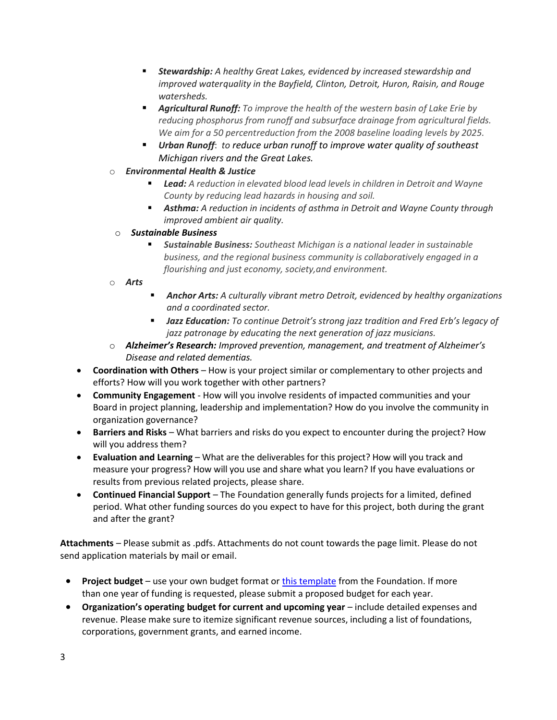- **Stewardship:** A healthy Great Lakes, evidenced by increased stewardship and improved water quality in the Bayfield, Clinton, Detroit, Huron, Raisin, and Rouge watersheds.
- **Agricultural Runoff:** To improve the health of the western basin of Lake Erie by reducing phosphorus from runoff and subsurface drainage from agricultural fields. We aim for a 50 percentreduction from the 2008 baseline loading levels by 2025.
- **Urban Runoff:** to reduce urban runoff to improve water quality of southeast Michigan rivers and the Great Lakes.
- o Environmental Health & Justice
	- **Lead:** A reduction in elevated blood lead levels in children in Detroit and Wayne County by reducing lead hazards in housing and soil.
	- **Asthma:** A reduction in incidents of asthma in Detroit and Wayne County through improved ambient air quality.
	- o Sustainable Business
		- Sustainable Business: Southeast Michigan is a national leader in sustainable business, and the regional business community is collaboratively engaged in a flourishing and just economy, society, and environment.

o Arts

- **Anchor Arts:** A culturally vibrant metro Detroit, evidenced by healthy organizations and a coordinated sector.
- **Jazz Education:** To continue Detroit's strong jazz tradition and Fred Erb's legacy of jazz patronage by educating the next generation of jazz musicians.
- o Alzheimer's Research: Improved prevention, management, and treatment of Alzheimer's Disease and related dementias.
- Coordination with Others How is your project similar or complementary to other projects and efforts? How will you work together with other partners?
- Community Engagement How will you involve residents of impacted communities and your Board in project planning, leadership and implementation? How do you involve the community in organization governance?
- Barriers and Risks What barriers and risks do you expect to encounter during the project? How will you address them?
- Evaluation and Learning What are the deliverables for this project? How will you track and measure your progress? How will you use and share what you learn? If you have evaluations or results from previous related projects, please share.
- Continued Financial Support The Foundation generally funds projects for a limited, defined period. What other funding sources do you expect to have for this project, both during the grant and after the grant?

Attachments – Please submit as .pdfs. Attachments do not count towards the page limit. Please do not send application materials by mail or email.

- Project budget use your own budget format or [this template](https://www.erbff.org/wp-content/uploads/2022/02/EFF-Budget-Form-2022.xlsx) from the Foundation. If more than one year of funding is requested, please submit a proposed budget for each year.
- Organization's operating budget for current and upcoming year include detailed expenses and revenue. Please make sure to itemize significant revenue sources, including a list of foundations, corporations, government grants, and earned income.